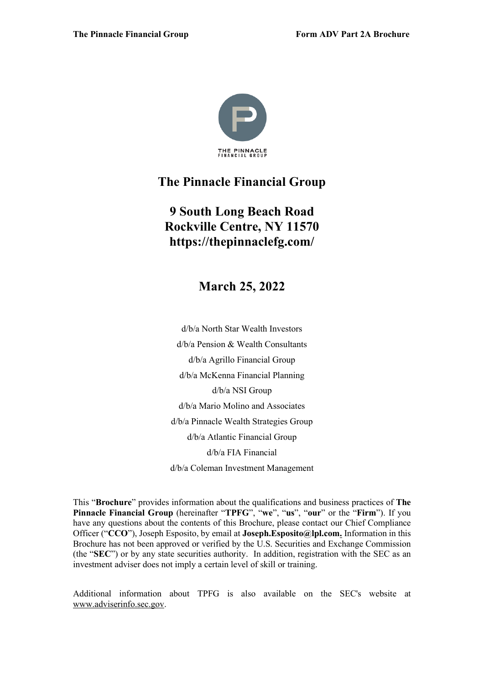

# **The Pinnacle Financial Group**

# **9 South Long Beach Road Rockville Centre, NY 11570 https://thepinnaclefg.com/**

**March 25, 2022** 

d/b/a North Star Wealth Investors d/b/a Pension & Wealth Consultants d/b/a Agrillo Financial Group d/b/a McKenna Financial Planning d/b/a NSI Group d/b/a Mario Molino and Associates d/b/a Pinnacle Wealth Strategies Group d/b/a Atlantic Financial Group d/b/a FIA Financial d/b/a Coleman Investment Management

This "**Brochure**" provides information about the qualifications and business practices of **The Pinnacle Financial Group** (hereinafter "**TPFG**", "**we**", "**us**", "**our**" or the "**Firm**"). If you have any questions about the contents of this Brochure, please contact our Chief Compliance Officer ("**CCO**"), Joseph Esposito, by email at **Joseph.Esposito@lpl.com.** Information in this Brochure has not been approved or verified by the U.S. Securities and Exchange Commission (the "**SEC**") or by any state securities authority. In addition, registration with the SEC as an investment adviser does not imply a certain level of skill or training.

Additional information about TPFG is also available on the SEC's website at [www.adviserinfo.sec.gov.](http://www.adviserinfo.sec.gov/)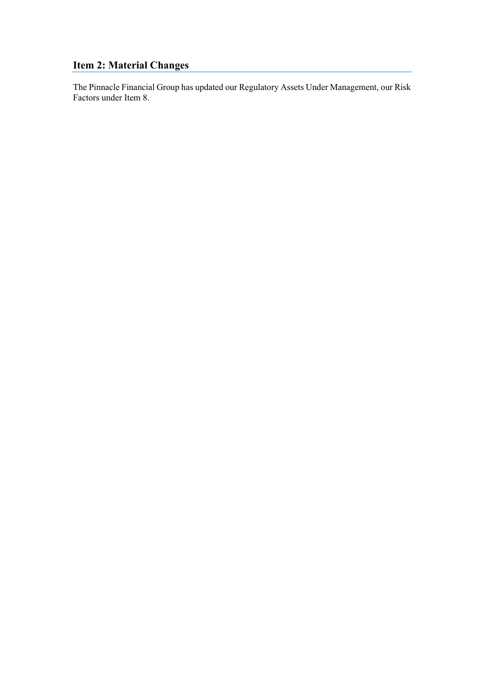# <span id="page-1-0"></span>**Item 2: Material Changes**

The Pinnacle Financial Group has updated our Regulatory Assets Under Management, our Risk Factors under Item 8.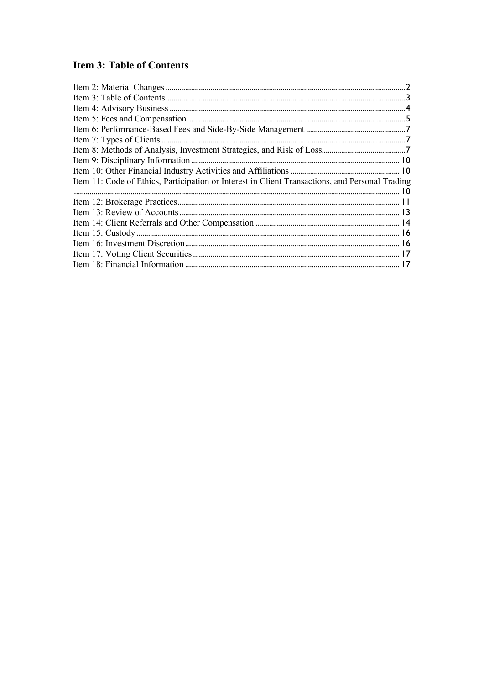# <span id="page-2-0"></span>**Item 3: Table of Contents**

| Item 11: Code of Ethics, Participation or Interest in Client Transactions, and Personal Trading |  |
|-------------------------------------------------------------------------------------------------|--|
|                                                                                                 |  |
|                                                                                                 |  |
|                                                                                                 |  |
|                                                                                                 |  |
|                                                                                                 |  |
|                                                                                                 |  |
|                                                                                                 |  |
|                                                                                                 |  |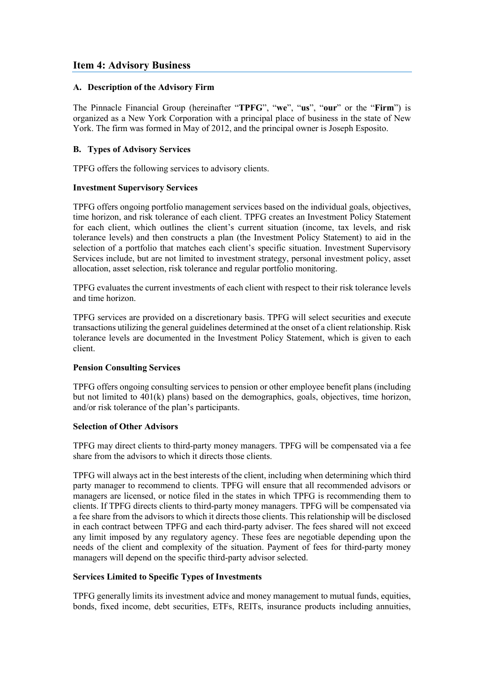# <span id="page-3-0"></span>**Item 4: Advisory Business**

#### **A. Description of the Advisory Firm**

The Pinnacle Financial Group (hereinafter "**TPFG**", "**we**", "**us**", "**our**" or the "**Firm**") is organized as a New York Corporation with a principal place of business in the state of New York. The firm was formed in May of 2012, and the principal owner is Joseph Esposito.

### **B. Types of Advisory Services**

TPFG offers the following services to advisory clients.

#### **Investment Supervisory Services**

TPFG offers ongoing portfolio management services based on the individual goals, objectives, time horizon, and risk tolerance of each client. TPFG creates an Investment Policy Statement for each client, which outlines the client's current situation (income, tax levels, and risk tolerance levels) and then constructs a plan (the Investment Policy Statement) to aid in the selection of a portfolio that matches each client's specific situation. Investment Supervisory Services include, but are not limited to investment strategy, personal investment policy, asset allocation, asset selection, risk tolerance and regular portfolio monitoring.

TPFG evaluates the current investments of each client with respect to their risk tolerance levels and time horizon.

TPFG services are provided on a discretionary basis. TPFG will select securities and execute transactions utilizing the general guidelines determined at the onset of a client relationship. Risk tolerance levels are documented in the Investment Policy Statement, which is given to each client.

#### **Pension Consulting Services**

TPFG offers ongoing consulting services to pension or other employee benefit plans (including but not limited to 401(k) plans) based on the demographics, goals, objectives, time horizon, and/or risk tolerance of the plan's participants.

#### **Selection of Other Advisors**

TPFG may direct clients to third-party money managers. TPFG will be compensated via a fee share from the advisors to which it directs those clients.

TPFG will always act in the best interests of the client, including when determining which third party manager to recommend to clients. TPFG will ensure that all recommended advisors or managers are licensed, or notice filed in the states in which TPFG is recommending them to clients. If TPFG directs clients to third-party money managers. TPFG will be compensated via a fee share from the advisors to which it directs those clients. This relationship will be disclosed in each contract between TPFG and each third-party adviser. The fees shared will not exceed any limit imposed by any regulatory agency. These fees are negotiable depending upon the needs of the client and complexity of the situation. Payment of fees for third-party money managers will depend on the specific third-party advisor selected.

#### **Services Limited to Specific Types of Investments**

TPFG generally limits its investment advice and money management to mutual funds, equities, bonds, fixed income, debt securities, ETFs, REITs, insurance products including annuities,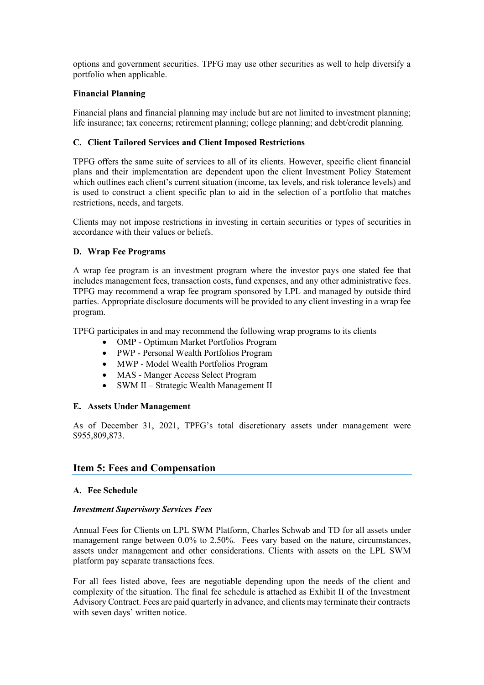options and government securities. TPFG may use other securities as well to help diversify a portfolio when applicable.

#### **Financial Planning**

Financial plans and financial planning may include but are not limited to investment planning; life insurance; tax concerns; retirement planning; college planning; and debt/credit planning.

#### **C. Client Tailored Services and Client Imposed Restrictions**

TPFG offers the same suite of services to all of its clients. However, specific client financial plans and their implementation are dependent upon the client Investment Policy Statement which outlines each client's current situation (income, tax levels, and risk tolerance levels) and is used to construct a client specific plan to aid in the selection of a portfolio that matches restrictions, needs, and targets.

Clients may not impose restrictions in investing in certain securities or types of securities in accordance with their values or beliefs.

#### **D. Wrap Fee Programs**

A wrap fee program is an investment program where the investor pays one stated fee that includes management fees, transaction costs, fund expenses, and any other administrative fees. TPFG may recommend a wrap fee program sponsored by LPL and managed by outside third parties. Appropriate disclosure documents will be provided to any client investing in a wrap fee program.

TPFG participates in and may recommend the following wrap programs to its clients

- OMP Optimum Market Portfolios Program
- PWP Personal Wealth Portfolios Program
- MWP Model Wealth Portfolios Program
- MAS Manger Access Select Program
- SWM II Strategic Wealth Management II

#### **E. Assets Under Management**

As of December 31, 2021, TPFG's total discretionary assets under management were \$955,809,873.

# <span id="page-4-0"></span>**Item 5: Fees and Compensation**

#### **A. Fee Schedule**

#### *Investment Supervisory Services Fees*

Annual Fees for Clients on LPL SWM Platform, Charles Schwab and TD for all assets under management range between 0.0% to 2.50%. Fees vary based on the nature, circumstances, assets under management and other considerations. Clients with assets on the LPL SWM platform pay separate transactions fees.

For all fees listed above, fees are negotiable depending upon the needs of the client and complexity of the situation. The final fee schedule is attached as Exhibit II of the Investment Advisory Contract. Fees are paid quarterly in advance, and clients may terminate their contracts with seven days' written notice.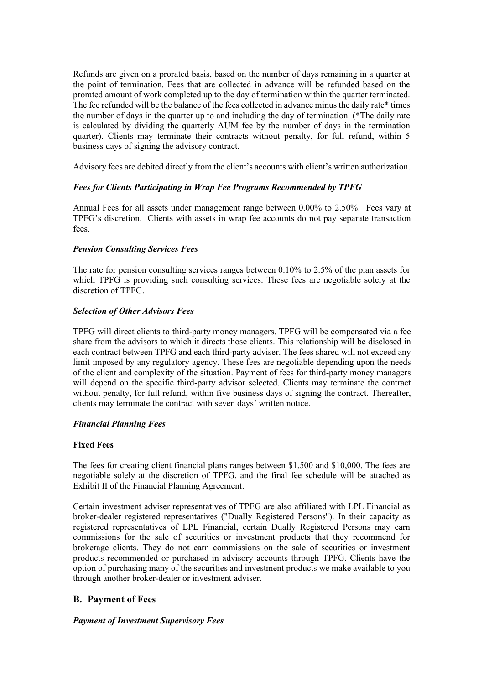Refunds are given on a prorated basis, based on the number of days remaining in a quarter at the point of termination. Fees that are collected in advance will be refunded based on the prorated amount of work completed up to the day of termination within the quarter terminated. The fee refunded will be the balance of the fees collected in advance minus the daily rate\* times the number of days in the quarter up to and including the day of termination. (\*The daily rate is calculated by dividing the quarterly AUM fee by the number of days in the termination quarter). Clients may terminate their contracts without penalty, for full refund, within 5 business days of signing the advisory contract.

Advisory fees are debited directly from the client's accounts with client's written authorization.

#### *Fees for Clients Participating in Wrap Fee Programs Recommended by TPFG*

Annual Fees for all assets under management range between 0.00% to 2.50%. Fees vary at TPFG's discretion. Clients with assets in wrap fee accounts do not pay separate transaction fees.

#### *Pension Consulting Services Fees*

The rate for pension consulting services ranges between 0.10% to 2.5% of the plan assets for which TPFG is providing such consulting services. These fees are negotiable solely at the discretion of TPFG.

#### *Selection of Other Advisors Fees*

TPFG will direct clients to third-party money managers. TPFG will be compensated via a fee share from the advisors to which it directs those clients. This relationship will be disclosed in each contract between TPFG and each third-party adviser. The fees shared will not exceed any limit imposed by any regulatory agency. These fees are negotiable depending upon the needs of the client and complexity of the situation. Payment of fees for third-party money managers will depend on the specific third-party advisor selected. Clients may terminate the contract without penalty, for full refund, within five business days of signing the contract. Thereafter, clients may terminate the contract with seven days' written notice.

#### *Financial Planning Fees*

#### **Fixed Fees**

The fees for creating client financial plans ranges between \$1,500 and \$10,000. The fees are negotiable solely at the discretion of TPFG, and the final fee schedule will be attached as Exhibit II of the Financial Planning Agreement.

Certain investment adviser representatives of TPFG are also affiliated with LPL Financial as broker-dealer registered representatives ("Dually Registered Persons"). In their capacity as registered representatives of LPL Financial, certain Dually Registered Persons may earn commissions for the sale of securities or investment products that they recommend for brokerage clients. They do not earn commissions on the sale of securities or investment products recommended or purchased in advisory accounts through TPFG. Clients have the option of purchasing many of the securities and investment products we make available to you through another broker-dealer or investment adviser.

# **B. Payment of Fees**

#### *Payment of Investment Supervisory Fees*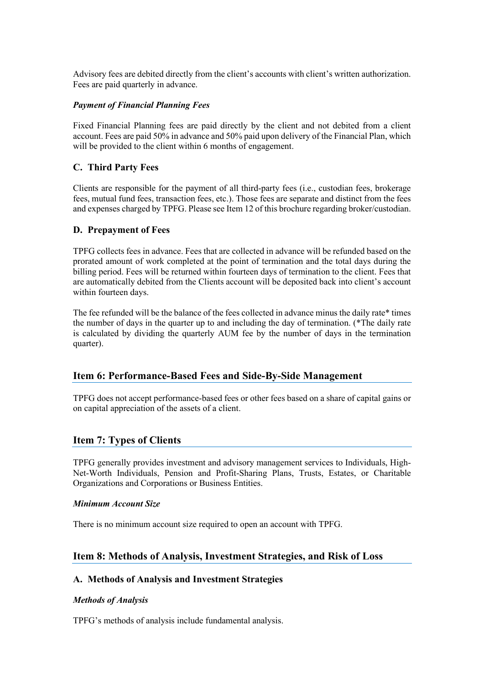Advisory fees are debited directly from the client's accounts with client's written authorization. Fees are paid quarterly in advance.

#### *Payment of Financial Planning Fees*

Fixed Financial Planning fees are paid directly by the client and not debited from a client account. Fees are paid 50% in advance and 50% paid upon delivery of the Financial Plan, which will be provided to the client within 6 months of engagement.

#### **C. Third Party Fees**

Clients are responsible for the payment of all third-party fees (i.e., custodian fees, brokerage fees, mutual fund fees, transaction fees, etc.). Those fees are separate and distinct from the fees and expenses charged by TPFG. Please see Item 12 of this brochure regarding broker/custodian.

#### **D. Prepayment of Fees**

TPFG collects fees in advance. Fees that are collected in advance will be refunded based on the prorated amount of work completed at the point of termination and the total days during the billing period. Fees will be returned within fourteen days of termination to the client. Fees that are automatically debited from the Clients account will be deposited back into client's account within fourteen days.

The fee refunded will be the balance of the fees collected in advance minus the daily rate\* times the number of days in the quarter up to and including the day of termination. (\*The daily rate is calculated by dividing the quarterly AUM fee by the number of days in the termination quarter).

# <span id="page-6-0"></span>**Item 6: Performance-Based Fees and Side-By-Side Management**

TPFG does not accept performance-based fees or other fees based on a share of capital gains or on capital appreciation of the assets of a client.

# <span id="page-6-1"></span>**Item 7: Types of Clients**

TPFG generally provides investment and advisory management services to Individuals, High-Net-Worth Individuals, Pension and Profit-Sharing Plans, Trusts, Estates, or Charitable Organizations and Corporations or Business Entities.

#### *Minimum Account Size*

There is no minimum account size required to open an account with TPFG.

# <span id="page-6-2"></span>**Item 8: Methods of Analysis, Investment Strategies, and Risk of Loss**

#### **A. Methods of Analysis and Investment Strategies**

#### *Methods of Analysis*

TPFG's methods of analysis include fundamental analysis.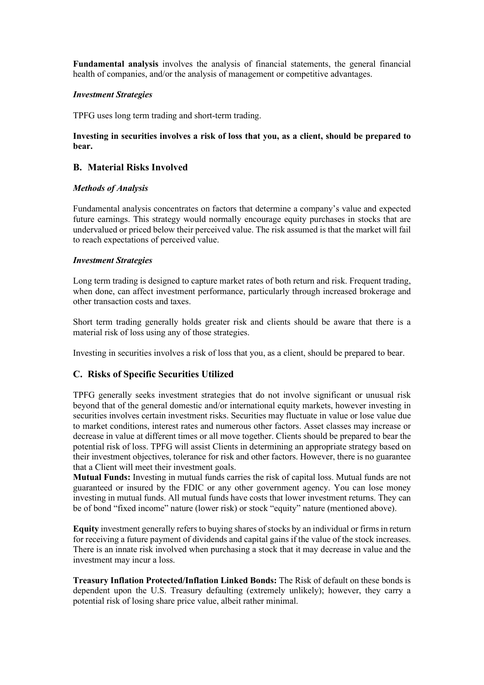**Fundamental analysis** involves the analysis of financial statements, the general financial health of companies, and/or the analysis of management or competitive advantages.

#### *Investment Strategies*

TPFG uses long term trading and short-term trading.

#### **Investing in securities involves a risk of loss that you, as a client, should be prepared to bear.**

### **B. Material Risks Involved**

#### *Methods of Analysis*

Fundamental analysis concentrates on factors that determine a company's value and expected future earnings. This strategy would normally encourage equity purchases in stocks that are undervalued or priced below their perceived value. The risk assumed is that the market will fail to reach expectations of perceived value.

#### *Investment Strategies*

Long term trading is designed to capture market rates of both return and risk. Frequent trading, when done, can affect investment performance, particularly through increased brokerage and other transaction costs and taxes.

Short term trading generally holds greater risk and clients should be aware that there is a material risk of loss using any of those strategies.

Investing in securities involves a risk of loss that you, as a client, should be prepared to bear.

#### **C. Risks of Specific Securities Utilized**

TPFG generally seeks investment strategies that do not involve significant or unusual risk beyond that of the general domestic and/or international equity markets, however investing in securities involves certain investment risks. Securities may fluctuate in value or lose value due to market conditions, interest rates and numerous other factors. Asset classes may increase or decrease in value at different times or all move together. Clients should be prepared to bear the potential risk of loss. TPFG will assist Clients in determining an appropriate strategy based on their investment objectives, tolerance for risk and other factors. However, there is no guarantee that a Client will meet their investment goals.

**Mutual Funds:** Investing in mutual funds carries the risk of capital loss. Mutual funds are not guaranteed or insured by the FDIC or any other government agency. You can lose money investing in mutual funds. All mutual funds have costs that lower investment returns. They can be of bond "fixed income" nature (lower risk) or stock "equity" nature (mentioned above).

**Equity** investment generally refers to buying shares of stocks by an individual or firms in return for receiving a future payment of dividends and capital gains if the value of the stock increases. There is an innate risk involved when purchasing a stock that it may decrease in value and the investment may incur a loss.

**Treasury Inflation Protected/Inflation Linked Bonds:** The Risk of default on these bonds is dependent upon the U.S. Treasury defaulting (extremely unlikely); however, they carry a potential risk of losing share price value, albeit rather minimal.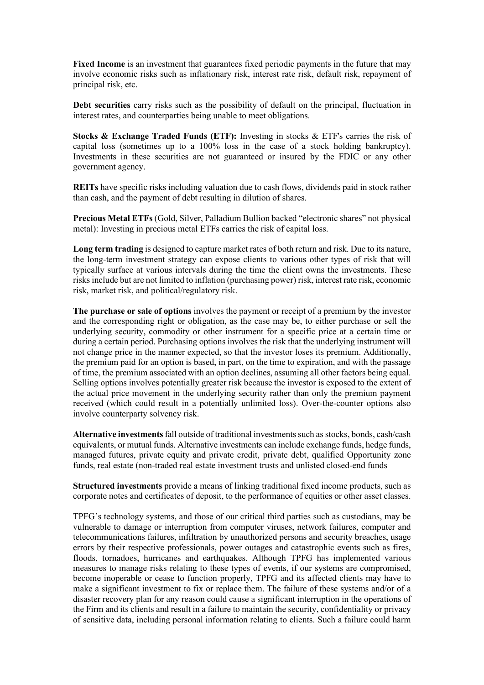**Fixed Income** is an investment that guarantees fixed periodic payments in the future that may involve economic risks such as inflationary risk, interest rate risk, default risk, repayment of principal risk, etc.

**Debt securities** carry risks such as the possibility of default on the principal, fluctuation in interest rates, and counterparties being unable to meet obligations.

**Stocks & Exchange Traded Funds (ETF):** Investing in stocks & ETF's carries the risk of capital loss (sometimes up to a 100% loss in the case of a stock holding bankruptcy). Investments in these securities are not guaranteed or insured by the FDIC or any other government agency.

**REITs** have specific risks including valuation due to cash flows, dividends paid in stock rather than cash, and the payment of debt resulting in dilution of shares.

**Precious Metal ETFs** (Gold, Silver, Palladium Bullion backed "electronic shares" not physical metal): Investing in precious metal ETFs carries the risk of capital loss.

**Long term trading** is designed to capture market rates of both return and risk. Due to its nature, the long-term investment strategy can expose clients to various other types of risk that will typically surface at various intervals during the time the client owns the investments. These risks include but are not limited to inflation (purchasing power) risk, interest rate risk, economic risk, market risk, and political/regulatory risk.

**The purchase or sale of options** involves the payment or receipt of a premium by the investor and the corresponding right or obligation, as the case may be, to either purchase or sell the underlying security, commodity or other instrument for a specific price at a certain time or during a certain period. Purchasing options involves the risk that the underlying instrument will not change price in the manner expected, so that the investor loses its premium. Additionally, the premium paid for an option is based, in part, on the time to expiration, and with the passage of time, the premium associated with an option declines, assuming all other factors being equal. Selling options involves potentially greater risk because the investor is exposed to the extent of the actual price movement in the underlying security rather than only the premium payment received (which could result in a potentially unlimited loss). Over-the-counter options also involve counterparty solvency risk.

**Alternative investments**fall outside of traditional investments such as stocks, bonds, cash/cash equivalents, or mutual funds. Alternative investments can include exchange funds, hedge funds, managed futures, private equity and private credit, private debt, qualified Opportunity zone funds, real estate (non-traded real estate investment trusts and unlisted closed-end funds

**Structured investments** provide a means of linking traditional fixed income products, such as corporate notes and certificates of deposit, to the performance of equities or other asset classes.

TPFG's technology systems, and those of our critical third parties such as custodians, may be vulnerable to damage or interruption from computer viruses, network failures, computer and telecommunications failures, infiltration by unauthorized persons and security breaches, usage errors by their respective professionals, power outages and catastrophic events such as fires, floods, tornadoes, hurricanes and earthquakes. Although TPFG has implemented various measures to manage risks relating to these types of events, if our systems are compromised, become inoperable or cease to function properly, TPFG and its affected clients may have to make a significant investment to fix or replace them. The failure of these systems and/or of a disaster recovery plan for any reason could cause a significant interruption in the operations of the Firm and its clients and result in a failure to maintain the security, confidentiality or privacy of sensitive data, including personal information relating to clients. Such a failure could harm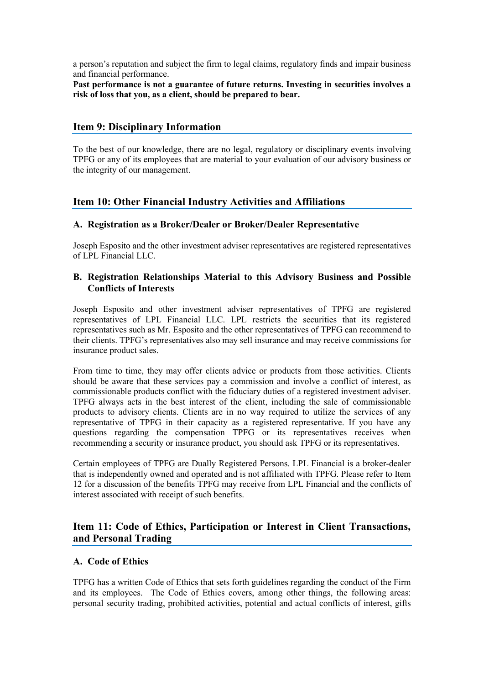a person's reputation and subject the firm to legal claims, regulatory finds and impair business and financial performance.

Past performance is not a guarantee of future returns. Investing in securities involves a **risk of loss that you, as a client, should be prepared to bear.**

# <span id="page-9-0"></span>**Item 9: Disciplinary Information**

To the best of our knowledge, there are no legal, regulatory or disciplinary events involving TPFG or any of its employees that are material to your evaluation of our advisory business or the integrity of our management.

# <span id="page-9-1"></span>**Item 10: Other Financial Industry Activities and Affiliations**

#### **A. Registration as a Broker/Dealer or Broker/Dealer Representative**

Joseph Esposito and the other investment adviser representatives are registered representatives of LPL Financial LLC.

# **B. Registration Relationships Material to this Advisory Business and Possible Conflicts of Interests**

Joseph Esposito and other investment adviser representatives of TPFG are registered representatives of LPL Financial LLC. LPL restricts the securities that its registered representatives such as Mr. Esposito and the other representatives of TPFG can recommend to their clients. TPFG's representatives also may sell insurance and may receive commissions for insurance product sales.

From time to time, they may offer clients advice or products from those activities. Clients should be aware that these services pay a commission and involve a conflict of interest, as commissionable products conflict with the fiduciary duties of a registered investment adviser. TPFG always acts in the best interest of the client, including the sale of commissionable products to advisory clients. Clients are in no way required to utilize the services of any representative of TPFG in their capacity as a registered representative. If you have any questions regarding the compensation TPFG or its representatives receives when recommending a security or insurance product, you should ask TPFG or its representatives.

Certain employees of TPFG are Dually Registered Persons. LPL Financial is a broker-dealer that is independently owned and operated and is not affiliated with TPFG. Please refer to Item 12 for a discussion of the benefits TPFG may receive from LPL Financial and the conflicts of interest associated with receipt of such benefits.

# <span id="page-9-2"></span>**Item 11: Code of Ethics, Participation or Interest in Client Transactions, and Personal Trading**

# **A. Code of Ethics**

TPFG has a written Code of Ethics that sets forth guidelines regarding the conduct of the Firm and its employees. The Code of Ethics covers, among other things, the following areas: personal security trading, prohibited activities, potential and actual conflicts of interest, gifts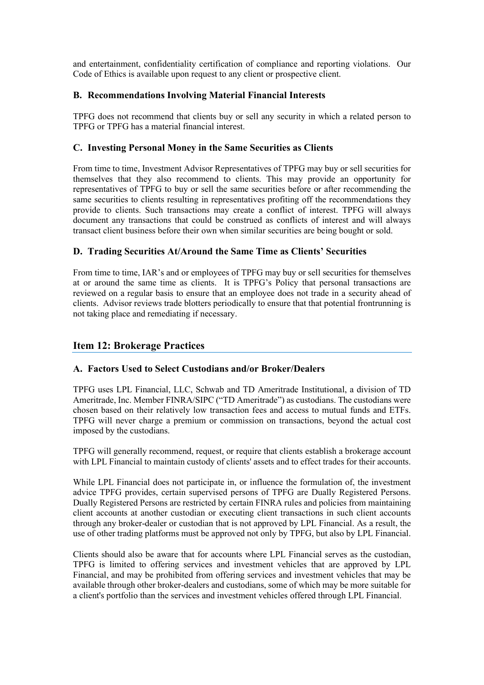and entertainment, confidentiality certification of compliance and reporting violations. Our Code of Ethics is available upon request to any client or prospective client.

# **B. Recommendations Involving Material Financial Interests**

TPFG does not recommend that clients buy or sell any security in which a related person to TPFG or TPFG has a material financial interest.

# **C. Investing Personal Money in the Same Securities as Clients**

From time to time, Investment Advisor Representatives of TPFG may buy or sell securities for themselves that they also recommend to clients. This may provide an opportunity for representatives of TPFG to buy or sell the same securities before or after recommending the same securities to clients resulting in representatives profiting off the recommendations they provide to clients. Such transactions may create a conflict of interest. TPFG will always document any transactions that could be construed as conflicts of interest and will always transact client business before their own when similar securities are being bought or sold.

# **D. Trading Securities At/Around the Same Time as Clients' Securities**

From time to time, IAR's and or employees of TPFG may buy or sell securities for themselves at or around the same time as clients. It is TPFG's Policy that personal transactions are reviewed on a regular basis to ensure that an employee does not trade in a security ahead of clients. Advisor reviews trade blotters periodically to ensure that that potential frontrunning is not taking place and remediating if necessary.

# <span id="page-10-0"></span>**Item 12: Brokerage Practices**

# **A. Factors Used to Select Custodians and/or Broker/Dealers**

TPFG uses LPL Financial, LLC, Schwab and TD Ameritrade Institutional, a division of TD Ameritrade, Inc. Member FINRA/SIPC ("TD Ameritrade") as custodians. The custodians were chosen based on their relatively low transaction fees and access to mutual funds and ETFs. TPFG will never charge a premium or commission on transactions, beyond the actual cost imposed by the custodians.

TPFG will generally recommend, request, or require that clients establish a brokerage account with LPL Financial to maintain custody of clients' assets and to effect trades for their accounts.

While LPL Financial does not participate in, or influence the formulation of, the investment advice TPFG provides, certain supervised persons of TPFG are Dually Registered Persons. Dually Registered Persons are restricted by certain FINRA rules and policies from maintaining client accounts at another custodian or executing client transactions in such client accounts through any broker-dealer or custodian that is not approved by LPL Financial. As a result, the use of other trading platforms must be approved not only by TPFG, but also by LPL Financial.

Clients should also be aware that for accounts where LPL Financial serves as the custodian, TPFG is limited to offering services and investment vehicles that are approved by LPL Financial, and may be prohibited from offering services and investment vehicles that may be available through other broker-dealers and custodians, some of which may be more suitable for a client's portfolio than the services and investment vehicles offered through LPL Financial.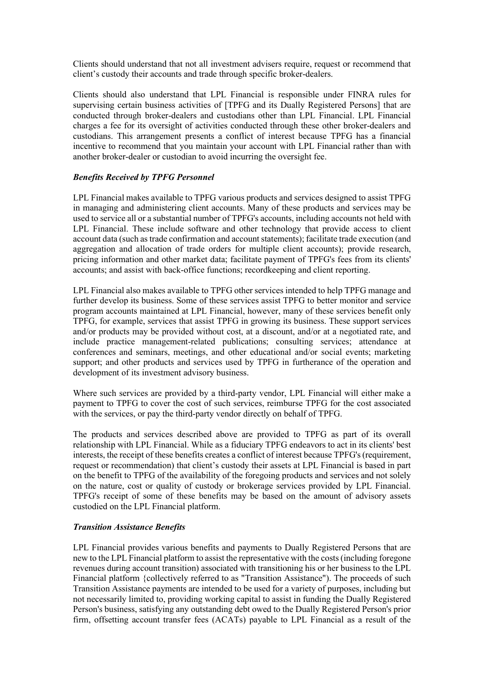Clients should understand that not all investment advisers require, request or recommend that client's custody their accounts and trade through specific broker-dealers.

Clients should also understand that LPL Financial is responsible under FINRA rules for supervising certain business activities of [TPFG and its Dually Registered Persons] that are conducted through broker-dealers and custodians other than LPL Financial. LPL Financial charges a fee for its oversight of activities conducted through these other broker-dealers and custodians. This arrangement presents a conflict of interest because TPFG has a financial incentive to recommend that you maintain your account with LPL Financial rather than with another broker-dealer or custodian to avoid incurring the oversight fee.

#### *Benefits Received by TPFG Personnel*

LPL Financial makes available to TPFG various products and services designed to assist TPFG in managing and administering client accounts. Many of these products and services may be used to service all or a substantial number of TPFG's accounts, including accounts not held with LPL Financial. These include software and other technology that provide access to client account data (such as trade confirmation and account statements); facilitate trade execution (and aggregation and allocation of trade orders for multiple client accounts); provide research, pricing information and other market data; facilitate payment of TPFG's fees from its clients' accounts; and assist with back-office functions; recordkeeping and client reporting.

LPL Financial also makes available to TPFG other services intended to help TPFG manage and further develop its business. Some of these services assist TPFG to better monitor and service program accounts maintained at LPL Financial, however, many of these services benefit only TPFG, for example, services that assist TPFG in growing its business. These support services and/or products may be provided without cost, at a discount, and/or at a negotiated rate, and include practice management-related publications; consulting services; attendance at conferences and seminars, meetings, and other educational and/or social events; marketing support; and other products and services used by TPFG in furtherance of the operation and development of its investment advisory business.

Where such services are provided by a third-party vendor, LPL Financial will either make a payment to TPFG to cover the cost of such services, reimburse TPFG for the cost associated with the services, or pay the third-party vendor directly on behalf of TPFG.

The products and services described above are provided to TPFG as part of its overall relationship with LPL Financial. While as a fiduciary TPFG endeavors to act in its clients' best interests, the receipt of these benefits creates a conflict of interest because TPFG's(requirement, request or recommendation) that client's custody their assets at LPL Financial is based in part on the benefit to TPFG of the availability of the foregoing products and services and not solely on the nature, cost or quality of custody or brokerage services provided by LPL Financial. TPFG's receipt of some of these benefits may be based on the amount of advisory assets custodied on the LPL Financial platform.

#### *Transition Assistance Benefits*

LPL Financial provides various benefits and payments to Dually Registered Persons that are new to the LPL Financial platform to assist the representative with the costs (including foregone revenues during account transition) associated with transitioning his or her business to the LPL Financial platform {collectively referred to as "Transition Assistance"). The proceeds of such Transition Assistance payments are intended to be used for a variety of purposes, including but not necessarily limited to, providing working capital to assist in funding the Dually Registered Person's business, satisfying any outstanding debt owed to the Dually Registered Person's prior firm, offsetting account transfer fees (ACATs) payable to LPL Financial as a result of the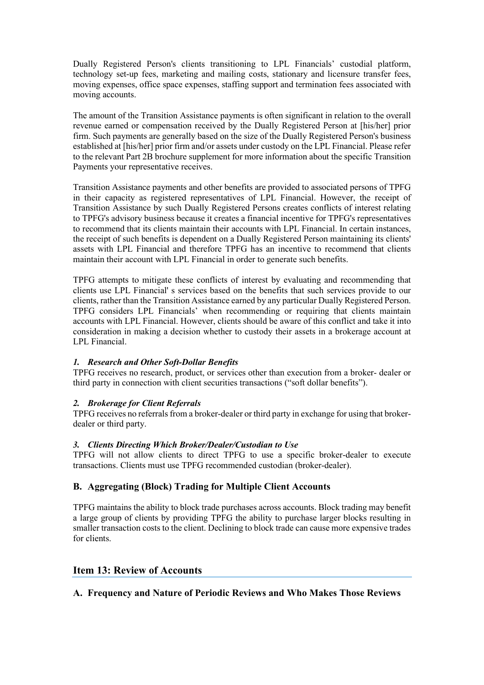Dually Registered Person's clients transitioning to LPL Financials' custodial platform, technology set-up fees, marketing and mailing costs, stationary and licensure transfer fees, moving expenses, office space expenses, staffing support and termination fees associated with moving accounts.

The amount of the Transition Assistance payments is often significant in relation to the overall revenue earned or compensation received by the Dually Registered Person at [his/her] prior firm. Such payments are generally based on the size of the Dually Registered Person's business established at [his/her] prior firm and/or assets under custody on the LPL Financial. Please refer to the relevant Part 2B brochure supplement for more information about the specific Transition Payments your representative receives.

Transition Assistance payments and other benefits are provided to associated persons of TPFG in their capacity as registered representatives of LPL Financial. However, the receipt of Transition Assistance by such Dually Registered Persons creates conflicts of interest relating to TPFG's advisory business because it creates a financial incentive for TPFG's representatives to recommend that its clients maintain their accounts with LPL Financial. In certain instances, the receipt of such benefits is dependent on a Dually Registered Person maintaining its clients' assets with LPL Financial and therefore TPFG has an incentive to recommend that clients maintain their account with LPL Financial in order to generate such benefits.

TPFG attempts to mitigate these conflicts of interest by evaluating and recommending that clients use LPL Financial' s services based on the benefits that such services provide to our clients, rather than the Transition Assistance earned by any particular Dually Registered Person. TPFG considers LPL Financials' when recommending or requiring that clients maintain accounts with LPL Financial. However, clients should be aware of this conflict and take it into consideration in making a decision whether to custody their assets in a brokerage account at LPL Financial.

# *1. Research and Other Soft-Dollar Benefits*

TPFG receives no research, product, or services other than execution from a broker- dealer or third party in connection with client securities transactions ("soft dollar benefits").

#### *2. Brokerage for Client Referrals*

TPFG receives no referrals from a broker-dealer or third party in exchange for using that brokerdealer or third party.

#### *3. Clients Directing Which Broker/Dealer/Custodian to Use*

TPFG will not allow clients to direct TPFG to use a specific broker-dealer to execute transactions. Clients must use TPFG recommended custodian (broker-dealer).

#### **B. Aggregating (Block) Trading for Multiple Client Accounts**

TPFG maintains the ability to block trade purchases across accounts. Block trading may benefit a large group of clients by providing TPFG the ability to purchase larger blocks resulting in smaller transaction costs to the client. Declining to block trade can cause more expensive trades for clients.

# <span id="page-12-0"></span>**Item 13: Review of Accounts**

# **A. Frequency and Nature of Periodic Reviews and Who Makes Those Reviews**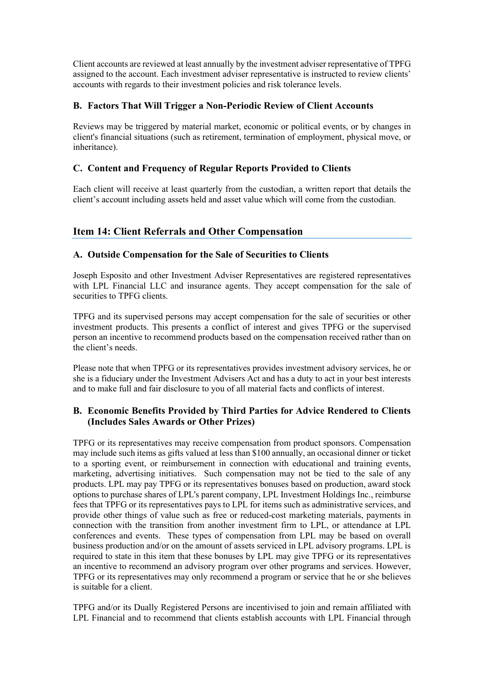Client accounts are reviewed at least annually by the investment adviser representative of TPFG assigned to the account. Each investment adviser representative is instructed to review clients' accounts with regards to their investment policies and risk tolerance levels.

# **B. Factors That Will Trigger a Non-Periodic Review of Client Accounts**

Reviews may be triggered by material market, economic or political events, or by changes in client's financial situations (such as retirement, termination of employment, physical move, or inheritance).

# **C. Content and Frequency of Regular Reports Provided to Clients**

Each client will receive at least quarterly from the custodian, a written report that details the client's account including assets held and asset value which will come from the custodian.

# <span id="page-13-0"></span>**Item 14: Client Referrals and Other Compensation**

# **A. Outside Compensation for the Sale of Securities to Clients**

Joseph Esposito and other Investment Adviser Representatives are registered representatives with LPL Financial LLC and insurance agents. They accept compensation for the sale of securities to TPFG clients.

TPFG and its supervised persons may accept compensation for the sale of securities or other investment products. This presents a conflict of interest and gives TPFG or the supervised person an incentive to recommend products based on the compensation received rather than on the client's needs.

Please note that when TPFG or its representatives provides investment advisory services, he or she is a fiduciary under the Investment Advisers Act and has a duty to act in your best interests and to make full and fair disclosure to you of all material facts and conflicts of interest.

# **B. Economic Benefits Provided by Third Parties for Advice Rendered to Clients (Includes Sales Awards or Other Prizes)**

TPFG or its representatives may receive compensation from product sponsors. Compensation may include such items as gifts valued at less than \$100 annually, an occasional dinner or ticket to a sporting event, or reimbursement in connection with educational and training events, marketing, advertising initiatives. Such compensation may not be tied to the sale of any products. LPL may pay TPFG or its representatives bonuses based on production, award stock options to purchase shares of LPL's parent company, LPL Investment Holdings Inc., reimburse fees that TPFG or its representatives pays to LPL for items such as administrative services, and provide other things of value such as free or reduced-cost marketing materials, payments in connection with the transition from another investment firm to LPL, or attendance at LPL conferences and events. These types of compensation from LPL may be based on overall business production and/or on the amount of assets serviced in LPL advisory programs. LPL is required to state in this item that these bonuses by LPL may give TPFG or its representatives an incentive to recommend an advisory program over other programs and services. However, TPFG or its representatives may only recommend a program or service that he or she believes is suitable for a client.

TPFG and/or its Dually Registered Persons are incentivised to join and remain affiliated with LPL Financial and to recommend that clients establish accounts with LPL Financial through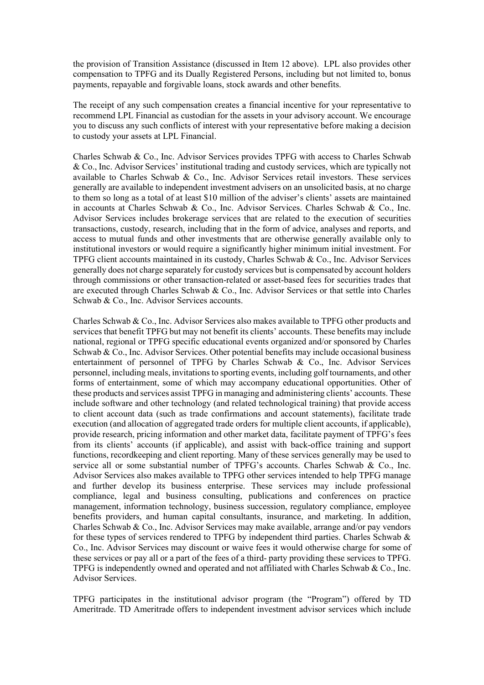the provision of Transition Assistance (discussed in Item 12 above). LPL also provides other compensation to TPFG and its Dually Registered Persons, including but not limited to, bonus payments, repayable and forgivable loans, stock awards and other benefits.

The receipt of any such compensation creates a financial incentive for your representative to recommend LPL Financial as custodian for the assets in your advisory account. We encourage you to discuss any such conflicts of interest with your representative before making a decision to custody your assets at LPL Financial.

Charles Schwab & Co., Inc. Advisor Services provides TPFG with access to Charles Schwab & Co., Inc. Advisor Services' institutional trading and custody services, which are typically not available to Charles Schwab & Co., Inc. Advisor Services retail investors. These services generally are available to independent investment advisers on an unsolicited basis, at no charge to them so long as a total of at least \$10 million of the adviser's clients' assets are maintained in accounts at Charles Schwab & Co., Inc. Advisor Services. Charles Schwab & Co., Inc. Advisor Services includes brokerage services that are related to the execution of securities transactions, custody, research, including that in the form of advice, analyses and reports, and access to mutual funds and other investments that are otherwise generally available only to institutional investors or would require a significantly higher minimum initial investment. For TPFG client accounts maintained in its custody, Charles Schwab & Co., Inc. Advisor Services generally does not charge separately for custody services but is compensated by account holders through commissions or other transaction-related or asset-based fees for securities trades that are executed through Charles Schwab & Co., Inc. Advisor Services or that settle into Charles Schwab & Co., Inc. Advisor Services accounts.

Charles Schwab & Co., Inc. Advisor Services also makes available to TPFG other products and services that benefit TPFG but may not benefit its clients' accounts. These benefits may include national, regional or TPFG specific educational events organized and/or sponsored by Charles Schwab  $& Co.,$  Inc. Advisor Services. Other potential benefits may include occasional business entertainment of personnel of TPFG by Charles Schwab & Co., Inc. Advisor Services personnel, including meals, invitations to sporting events, including golf tournaments, and other forms of entertainment, some of which may accompany educational opportunities. Other of these products and services assist TPFG in managing and administering clients' accounts. These include software and other technology (and related technological training) that provide access to client account data (such as trade confirmations and account statements), facilitate trade execution (and allocation of aggregated trade orders for multiple client accounts, if applicable), provide research, pricing information and other market data, facilitate payment of TPFG's fees from its clients' accounts (if applicable), and assist with back-office training and support functions, recordkeeping and client reporting. Many of these services generally may be used to service all or some substantial number of TPFG's accounts. Charles Schwab & Co., Inc. Advisor Services also makes available to TPFG other services intended to help TPFG manage and further develop its business enterprise. These services may include professional compliance, legal and business consulting, publications and conferences on practice management, information technology, business succession, regulatory compliance, employee benefits providers, and human capital consultants, insurance, and marketing. In addition, Charles Schwab & Co., Inc. Advisor Services may make available, arrange and/or pay vendors for these types of services rendered to TPFG by independent third parties. Charles Schwab & Co., Inc. Advisor Services may discount or waive fees it would otherwise charge for some of these services or pay all or a part of the fees of a third- party providing these services to TPFG. TPFG is independently owned and operated and not affiliated with Charles Schwab & Co., Inc. Advisor Services.

TPFG participates in the institutional advisor program (the "Program") offered by TD Ameritrade. TD Ameritrade offers to independent investment advisor services which include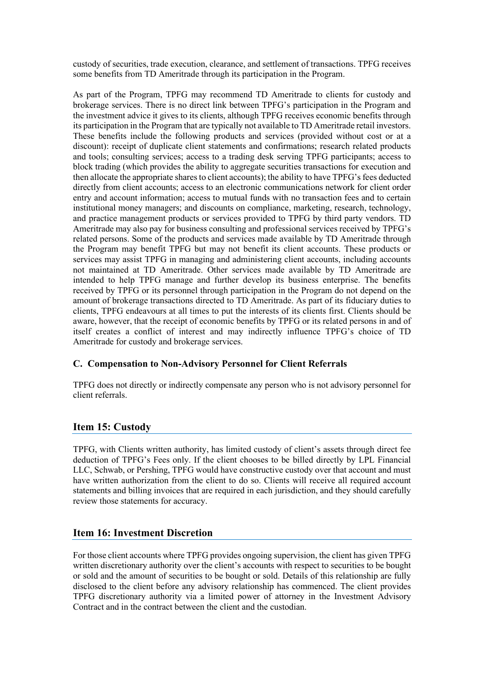custody of securities, trade execution, clearance, and settlement of transactions. TPFG receives some benefits from TD Ameritrade through its participation in the Program.

As part of the Program, TPFG may recommend TD Ameritrade to clients for custody and brokerage services. There is no direct link between TPFG's participation in the Program and the investment advice it gives to its clients, although TPFG receives economic benefits through its participation in the Program that are typically not available to TD Ameritrade retail investors. These benefits include the following products and services (provided without cost or at a discount): receipt of duplicate client statements and confirmations; research related products and tools; consulting services; access to a trading desk serving TPFG participants; access to block trading (which provides the ability to aggregate securities transactions for execution and then allocate the appropriate shares to client accounts); the ability to have TPFG's fees deducted directly from client accounts; access to an electronic communications network for client order entry and account information; access to mutual funds with no transaction fees and to certain institutional money managers; and discounts on compliance, marketing, research, technology, and practice management products or services provided to TPFG by third party vendors. TD Ameritrade may also pay for business consulting and professional services received by TPFG's related persons. Some of the products and services made available by TD Ameritrade through the Program may benefit TPFG but may not benefit its client accounts. These products or services may assist TPFG in managing and administering client accounts, including accounts not maintained at TD Ameritrade. Other services made available by TD Ameritrade are intended to help TPFG manage and further develop its business enterprise. The benefits received by TPFG or its personnel through participation in the Program do not depend on the amount of brokerage transactions directed to TD Ameritrade. As part of its fiduciary duties to clients, TPFG endeavours at all times to put the interests of its clients first. Clients should be aware, however, that the receipt of economic benefits by TPFG or its related persons in and of itself creates a conflict of interest and may indirectly influence TPFG's choice of TD Ameritrade for custody and brokerage services.

# **C. Compensation to Non-Advisory Personnel for Client Referrals**

TPFG does not directly or indirectly compensate any person who is not advisory personnel for client referrals.

# <span id="page-15-0"></span>**Item 15: Custody**

TPFG, with Clients written authority, has limited custody of client's assets through direct fee deduction of TPFG's Fees only. If the client chooses to be billed directly by LPL Financial LLC, Schwab, or Pershing, TPFG would have constructive custody over that account and must have written authorization from the client to do so. Clients will receive all required account statements and billing invoices that are required in each jurisdiction, and they should carefully review those statements for accuracy.

# <span id="page-15-1"></span>**Item 16: Investment Discretion**

For those client accounts where TPFG provides ongoing supervision, the client has given TPFG written discretionary authority over the client's accounts with respect to securities to be bought or sold and the amount of securities to be bought or sold. Details of this relationship are fully disclosed to the client before any advisory relationship has commenced. The client provides TPFG discretionary authority via a limited power of attorney in the Investment Advisory Contract and in the contract between the client and the custodian.